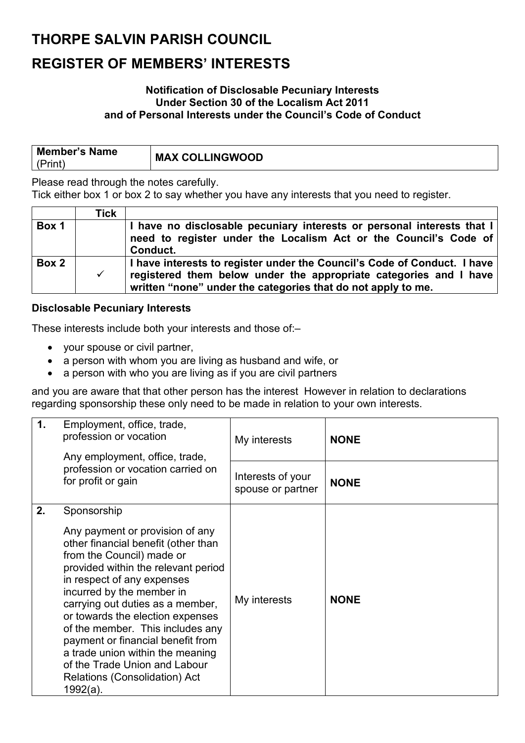### **THORPE SALVIN PARISH COUNCIL**

### **REGISTER OF MEMBERS' INTERESTS**

#### **Notification of Disclosable Pecuniary Interests Under Section 30 of the Localism Act 2011 and of Personal Interests under the Council's Code of Conduct**

| <b>Member's Name</b> | <b>MAX COLLINGWOOD</b> |
|----------------------|------------------------|
| (Print)              |                        |

Please read through the notes carefully.

Tick either box 1 or box 2 to say whether you have any interests that you need to register.

|       | Tick         |                                                                                                                                                                                                               |
|-------|--------------|---------------------------------------------------------------------------------------------------------------------------------------------------------------------------------------------------------------|
| Box 1 |              | I have no disclosable pecuniary interests or personal interests that I<br>need to register under the Localism Act or the Council's Code of<br>Conduct.                                                        |
| Box 2 | $\checkmark$ | I have interests to register under the Council's Code of Conduct. I have<br>registered them below under the appropriate categories and I have<br>written "none" under the categories that do not apply to me. |

#### **Disclosable Pecuniary Interests**

These interests include both your interests and those of:–

- your spouse or civil partner,
- a person with whom you are living as husband and wife, or
- a person with who you are living as if you are civil partners

and you are aware that that other person has the interest However in relation to declarations regarding sponsorship these only need to be made in relation to your own interests.

| 1. | Employment, office, trade,<br>profession or vocation<br>Any employment, office, trade,                                                                                                                                                                                                                                                                                                                    | My interests                           | <b>NONE</b> |
|----|-----------------------------------------------------------------------------------------------------------------------------------------------------------------------------------------------------------------------------------------------------------------------------------------------------------------------------------------------------------------------------------------------------------|----------------------------------------|-------------|
|    | profession or vocation carried on<br>for profit or gain                                                                                                                                                                                                                                                                                                                                                   | Interests of your<br>spouse or partner | <b>NONE</b> |
| 2. | Sponsorship<br>Any payment or provision of any<br>other financial benefit (other than<br>from the Council) made or<br>provided within the relevant period<br>in respect of any expenses<br>incurred by the member in<br>carrying out duties as a member,<br>or towards the election expenses<br>of the member. This includes any<br>payment or financial benefit from<br>a trade union within the meaning | My interests                           | <b>NONE</b> |
|    | of the Trade Union and Labour<br><b>Relations (Consolidation) Act</b><br>1992(a).                                                                                                                                                                                                                                                                                                                         |                                        |             |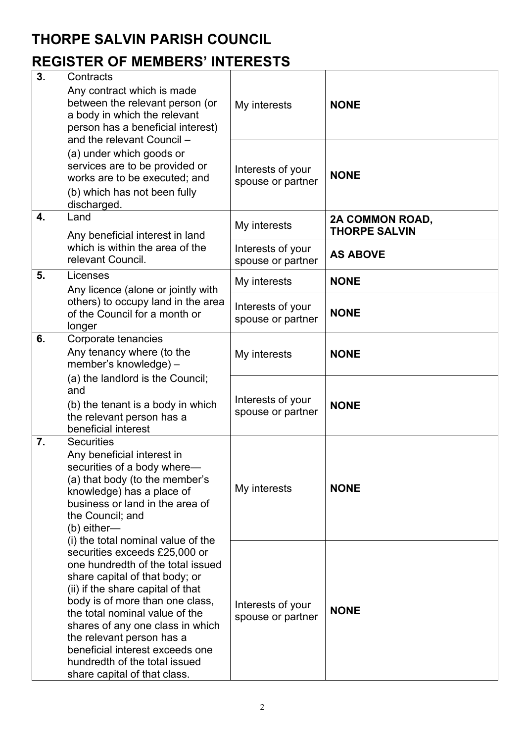## **THORPE SALVIN PARISH COUNCIL**

## **REGISTER OF MEMBERS' INTERESTS**

| 3. | Contracts                                                                                                                                                                                                                                                                                                                                                                                                                 |                                        |                                         |
|----|---------------------------------------------------------------------------------------------------------------------------------------------------------------------------------------------------------------------------------------------------------------------------------------------------------------------------------------------------------------------------------------------------------------------------|----------------------------------------|-----------------------------------------|
|    | Any contract which is made<br>between the relevant person (or<br>a body in which the relevant<br>person has a beneficial interest)<br>and the relevant Council -                                                                                                                                                                                                                                                          | My interests                           | <b>NONE</b>                             |
|    | (a) under which goods or<br>services are to be provided or<br>works are to be executed; and<br>(b) which has not been fully<br>discharged.                                                                                                                                                                                                                                                                                | Interests of your<br>spouse or partner | <b>NONE</b>                             |
| 4. | Land<br>Any beneficial interest in land                                                                                                                                                                                                                                                                                                                                                                                   | My interests                           | 2A COMMON ROAD,<br><b>THORPE SALVIN</b> |
|    | which is within the area of the<br>relevant Council.                                                                                                                                                                                                                                                                                                                                                                      | Interests of your<br>spouse or partner | <b>AS ABOVE</b>                         |
| 5. | Licenses                                                                                                                                                                                                                                                                                                                                                                                                                  | My interests                           | <b>NONE</b>                             |
|    | Any licence (alone or jointly with<br>others) to occupy land in the area<br>of the Council for a month or<br>longer                                                                                                                                                                                                                                                                                                       | Interests of your<br>spouse or partner | <b>NONE</b>                             |
| 6. | Corporate tenancies<br>Any tenancy where (to the<br>member's knowledge) -                                                                                                                                                                                                                                                                                                                                                 | My interests                           | <b>NONE</b>                             |
|    | (a) the landlord is the Council;<br>and<br>(b) the tenant is a body in which<br>the relevant person has a<br>beneficial interest                                                                                                                                                                                                                                                                                          | Interests of your<br>spouse or partner | <b>NONE</b>                             |
| 7. | <b>Securities</b><br>Any beneficial interest in<br>securities of a body where—<br>(a) that body (to the member's<br>knowledge) has a place of<br>business or land in the area of<br>the Council; and<br>$(b)$ either—                                                                                                                                                                                                     | My interests                           | <b>NONE</b>                             |
|    | (i) the total nominal value of the<br>securities exceeds £25,000 or<br>one hundredth of the total issued<br>share capital of that body; or<br>(ii) if the share capital of that<br>body is of more than one class,<br>the total nominal value of the<br>shares of any one class in which<br>the relevant person has a<br>beneficial interest exceeds one<br>hundredth of the total issued<br>share capital of that class. | Interests of your<br>spouse or partner | <b>NONE</b>                             |